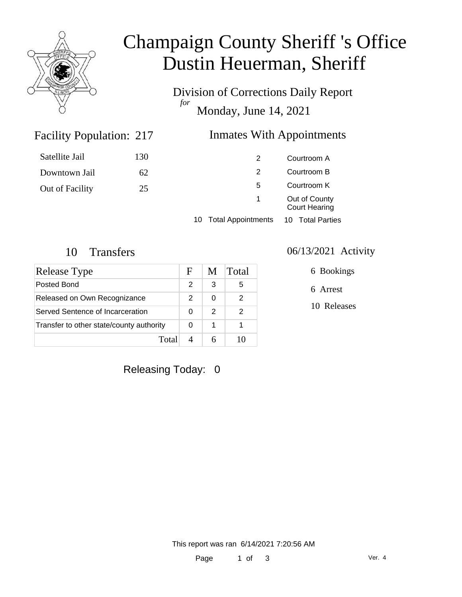

# Champaign County Sheriff 's Office Dustin Heuerman, Sheriff

Division of Corrections Daily Report *for* Monday, June 14, 2021

### Facility Population: 217

### Inmates With Appointments

| Satellite Jail  | 130 |                                 | Courtroom A                           |  |
|-----------------|-----|---------------------------------|---------------------------------------|--|
| Downtown Jail   | 62  |                                 | Courtroom B                           |  |
| Out of Facility | 25  | 5                               | Courtroom K                           |  |
|                 |     |                                 | Out of County<br><b>Court Hearing</b> |  |
|                 |     | <b>Total Appointments</b><br>10 | <b>Total Parties</b><br>10            |  |

| Release Type                             |   | M | Total |
|------------------------------------------|---|---|-------|
| Posted Bond                              | 2 | 3 | 5     |
| Released on Own Recognizance             | 2 | 0 | 2     |
| Served Sentence of Incarceration         | O | 2 |       |
| Transfer to other state/county authority |   | 1 |       |
| Total                                    |   |   |       |

#### 10 Transfers 06/13/2021 Activity

6 Bookings

6 Arrest

10 Releases

Releasing Today: 0

This report was ran 6/14/2021 7:20:56 AM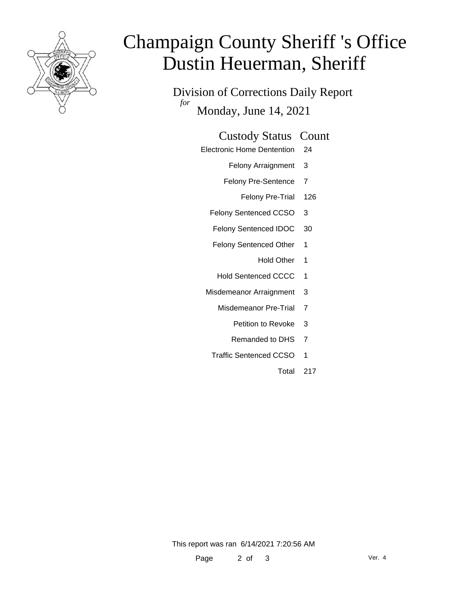

# Champaign County Sheriff 's Office Dustin Heuerman, Sheriff

Division of Corrections Daily Report *for* Monday, June 14, 2021

#### Custody Status Count

- Electronic Home Dentention 24
	- Felony Arraignment 3
	- Felony Pre-Sentence 7
		- Felony Pre-Trial 126
	- Felony Sentenced CCSO 3
	- Felony Sentenced IDOC 30
	- Felony Sentenced Other 1
		- Hold Other 1
	- Hold Sentenced CCCC 1
	- Misdemeanor Arraignment 3
		- Misdemeanor Pre-Trial 7
			- Petition to Revoke 3
			- Remanded to DHS 7
		- Traffic Sentenced CCSO 1
			- Total 217

This report was ran 6/14/2021 7:20:56 AM